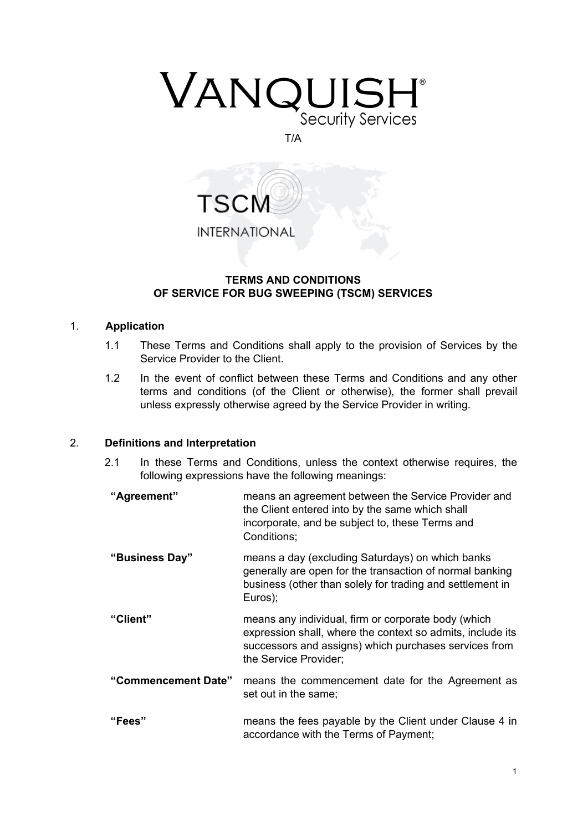

#### T/A



## **TERMS AND CONDITIONS OF SERVICE FOR BUG SWEEPING (TSCM) SERVICES**

## 1. **Application**

- 1.1 These Terms and Conditions shall apply to the provision of Services by the Service Provider to the Client.
- 1.2 In the event of conflict between these Terms and Conditions and any other terms and conditions (of the Client or otherwise), the former shall prevail unless expressly otherwise agreed by the Service Provider in writing.

## 2. **Definitions and Interpretation**

- 2.1 In these Terms and Conditions, unless the context otherwise requires, the following expressions have the following meanings:
- **"Agreement"** means an agreement between the Service Provider and the Client entered into by the same which shall incorporate, and be subject to, these Terms and Conditions;
- **"Business Day"** means a day (excluding Saturdays) on which banks generally are open for the transaction of normal banking business (other than solely for trading and settlement in Euros);
- **"Client"** means any individual, firm or corporate body (which expression shall, where the context so admits, include its successors and assigns) which purchases services from the Service Provider;
- **"Commencement Date"** means the commencement date for the Agreement as set out in the same;
- **"Fees"** means the fees payable by the Client under Clause 4 in accordance with the Terms of Payment;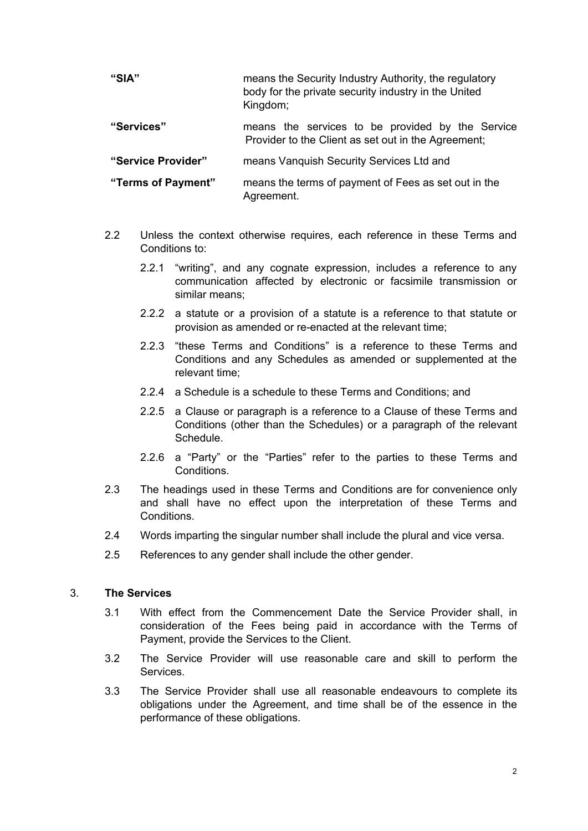| "SIA"              | means the Security Industry Authority, the regulatory<br>body for the private security industry in the United<br>Kingdom; |
|--------------------|---------------------------------------------------------------------------------------------------------------------------|
| "Services"         | means the services to be provided by the Service<br>Provider to the Client as set out in the Agreement;                   |
| "Service Provider" | means Vanguish Security Services Ltd and                                                                                  |
| "Terms of Payment" | means the terms of payment of Fees as set out in the<br>Agreement.                                                        |

- 2.2 Unless the context otherwise requires, each reference in these Terms and Conditions to:
	- 2.2.1 "writing", and any cognate expression, includes a reference to any communication affected by electronic or facsimile transmission or similar means;
	- 2.2.2 a statute or a provision of a statute is a reference to that statute or provision as amended or re-enacted at the relevant time;
	- 2.2.3 "these Terms and Conditions" is a reference to these Terms and Conditions and any Schedules as amended or supplemented at the relevant time;
	- 2.2.4 a Schedule is a schedule to these Terms and Conditions; and
	- 2.2.5 a Clause or paragraph is a reference to a Clause of these Terms and Conditions (other than the Schedules) or a paragraph of the relevant Schedule.
	- 2.2.6 a "Party" or the "Parties" refer to the parties to these Terms and Conditions.
- 2.3 The headings used in these Terms and Conditions are for convenience only and shall have no effect upon the interpretation of these Terms and Conditions.
- 2.4 Words imparting the singular number shall include the plural and vice versa.
- 2.5 References to any gender shall include the other gender.

## 3. **The Services**

- 3.1 With effect from the Commencement Date the Service Provider shall, in consideration of the Fees being paid in accordance with the Terms of Payment, provide the Services to the Client.
- 3.2 The Service Provider will use reasonable care and skill to perform the Services.
- 3.3 The Service Provider shall use all reasonable endeavours to complete its obligations under the Agreement, and time shall be of the essence in the performance of these obligations.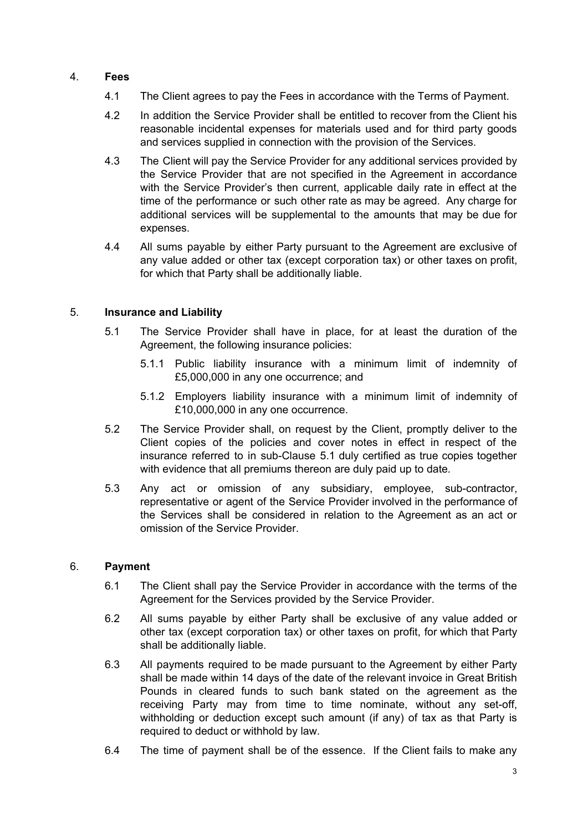# 4. **Fees**

- 4.1 The Client agrees to pay the Fees in accordance with the Terms of Payment.
- 4.2 In addition the Service Provider shall be entitled to recover from the Client his reasonable incidental expenses for materials used and for third party goods and services supplied in connection with the provision of the Services.
- 4.3 The Client will pay the Service Provider for any additional services provided by the Service Provider that are not specified in the Agreement in accordance with the Service Provider's then current, applicable daily rate in effect at the time of the performance or such other rate as may be agreed. Any charge for additional services will be supplemental to the amounts that may be due for expenses.
- 4.4 All sums payable by either Party pursuant to the Agreement are exclusive of any value added or other tax (except corporation tax) or other taxes on profit, for which that Party shall be additionally liable.

## 5. **Insurance and Liability**

- 5.1 The Service Provider shall have in place, for at least the duration of the Agreement, the following insurance policies:
	- 5.1.1 Public liability insurance with a minimum limit of indemnity of £5,000,000 in any one occurrence; and
	- 5.1.2 Employers liability insurance with a minimum limit of indemnity of £10,000,000 in any one occurrence.
- 5.2 The Service Provider shall, on request by the Client, promptly deliver to the Client copies of the policies and cover notes in effect in respect of the insurance referred to in sub-Clause 5.1 duly certified as true copies together with evidence that all premiums thereon are duly paid up to date*.*
- 5.3 Any act or omission of any subsidiary, employee, sub-contractor, representative or agent of the Service Provider involved in the performance of the Services shall be considered in relation to the Agreement as an act or omission of the Service Provider.

# 6. **Payment**

- 6.1 The Client shall pay the Service Provider in accordance with the terms of the Agreement for the Services provided by the Service Provider.
- 6.2 All sums payable by either Party shall be exclusive of any value added or other tax (except corporation tax) or other taxes on profit, for which that Party shall be additionally liable.
- 6.3 All payments required to be made pursuant to the Agreement by either Party shall be made within 14 days of the date of the relevant invoice in Great British Pounds in cleared funds to such bank stated on the agreement as the receiving Party may from time to time nominate, without any set-off, withholding or deduction except such amount (if any) of tax as that Party is required to deduct or withhold by law.
- 6.4 The time of payment shall be of the essence. If the Client fails to make any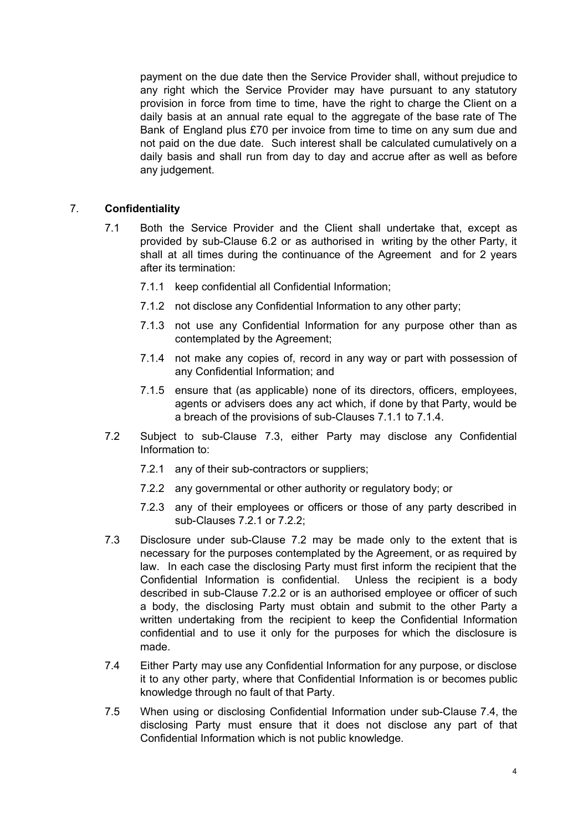payment on the due date then the Service Provider shall, without prejudice to any right which the Service Provider may have pursuant to any statutory provision in force from time to time, have the right to charge the Client on a daily basis at an annual rate equal to the aggregate of the base rate of The Bank of England plus £70 per invoice from time to time on any sum due and not paid on the due date. Such interest shall be calculated cumulatively on a daily basis and shall run from day to day and accrue after as well as before any judgement.

## 7. **Confidentiality**

- 7.1 Both the Service Provider and the Client shall undertake that, except as provided by sub-Clause 6.2 or as authorised in writing by the other Party, it shall at all times during the continuance of the Agreement and for 2 years after its termination:
	- 7.1.1 keep confidential all Confidential Information;
	- 7.1.2 not disclose any Confidential Information to any other party;
	- 7.1.3 not use any Confidential Information for any purpose other than as contemplated by the Agreement;
	- 7.1.4 not make any copies of, record in any way or part with possession of any Confidential Information; and
	- 7.1.5 ensure that (as applicable) none of its directors, officers, employees, agents or advisers does any act which, if done by that Party, would be a breach of the provisions of sub-Clauses 7.1.1 to 7.1.4.
- 7.2 Subject to sub-Clause 7.3, either Party may disclose any Confidential Information to:
	- 7.2.1 any of their sub-contractors or suppliers;
	- 7.2.2 any governmental or other authority or regulatory body; or
	- 7.2.3 any of their employees or officers or those of any party described in sub-Clauses 7.2.1 or 7.2.2;
- 7.3 Disclosure under sub-Clause 7.2 may be made only to the extent that is necessary for the purposes contemplated by the Agreement, or as required by law. In each case the disclosing Party must first inform the recipient that the Confidential Information is confidential. Unless the recipient is a body described in sub-Clause 7.2.2 or is an authorised employee or officer of such a body, the disclosing Party must obtain and submit to the other Party a written undertaking from the recipient to keep the Confidential Information confidential and to use it only for the purposes for which the disclosure is made.
- 7.4 Either Party may use any Confidential Information for any purpose, or disclose it to any other party, where that Confidential Information is or becomes public knowledge through no fault of that Party.
- 7.5 When using or disclosing Confidential Information under sub-Clause 7.4, the disclosing Party must ensure that it does not disclose any part of that Confidential Information which is not public knowledge.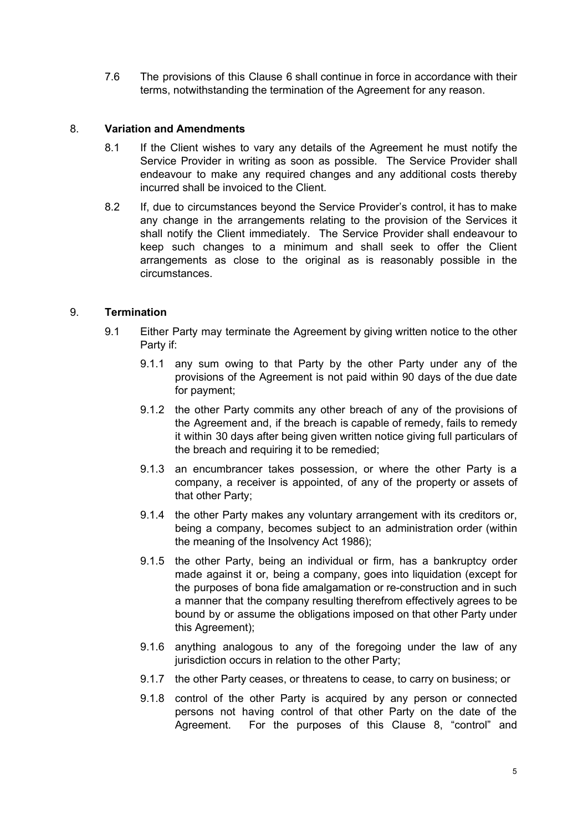7.6 The provisions of this Clause 6 shall continue in force in accordance with their terms, notwithstanding the termination of the Agreement for any reason.

## 8. **Variation and Amendments**

- 8.1 If the Client wishes to vary any details of the Agreement he must notify the Service Provider in writing as soon as possible. The Service Provider shall endeavour to make any required changes and any additional costs thereby incurred shall be invoiced to the Client.
- 8.2 If, due to circumstances beyond the Service Provider's control, it has to make any change in the arrangements relating to the provision of the Services it shall notify the Client immediately. The Service Provider shall endeavour to keep such changes to a minimum and shall seek to offer the Client arrangements as close to the original as is reasonably possible in the circumstances.

## 9. **Termination**

- 9.1 Either Party may terminate the Agreement by giving written notice to the other Party if:
	- 9.1.1 any sum owing to that Party by the other Party under any of the provisions of the Agreement is not paid within 90 days of the due date for payment;
	- 9.1.2 the other Party commits any other breach of any of the provisions of the Agreement and, if the breach is capable of remedy, fails to remedy it within 30 days after being given written notice giving full particulars of the breach and requiring it to be remedied;
	- 9.1.3 an encumbrancer takes possession, or where the other Party is a company, a receiver is appointed, of any of the property or assets of that other Party;
	- 9.1.4 the other Party makes any voluntary arrangement with its creditors or, being a company, becomes subject to an administration order (within the meaning of the Insolvency Act 1986);
	- 9.1.5 the other Party, being an individual or firm, has a bankruptcy order made against it or, being a company, goes into liquidation (except for the purposes of bona fide amalgamation or re-construction and in such a manner that the company resulting therefrom effectively agrees to be bound by or assume the obligations imposed on that other Party under this Agreement);
	- 9.1.6 anything analogous to any of the foregoing under the law of any jurisdiction occurs in relation to the other Party;
	- 9.1.7 the other Party ceases, or threatens to cease, to carry on business; or
	- 9.1.8 control of the other Party is acquired by any person or connected persons not having control of that other Party on the date of the Agreement. For the purposes of this Clause 8, "control" and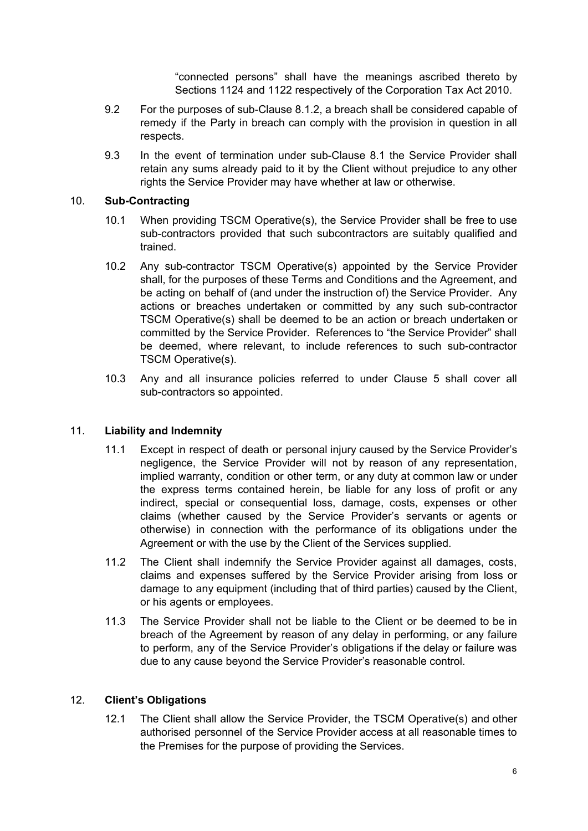"connected persons" shall have the meanings ascribed thereto by Sections 1124 and 1122 respectively of the Corporation Tax Act 2010.

- 9.2 For the purposes of sub-Clause 8.1.2, a breach shall be considered capable of remedy if the Party in breach can comply with the provision in question in all respects.
- 9.3 In the event of termination under sub-Clause 8.1 the Service Provider shall retain any sums already paid to it by the Client without prejudice to any other rights the Service Provider may have whether at law or otherwise.

## 10. **Sub-Contracting**

- 10.1 When providing TSCM Operative(s), the Service Provider shall be free to use sub-contractors provided that such subcontractors are suitably qualified and trained.
- 10.2 Any sub-contractor TSCM Operative(s) appointed by the Service Provider shall, for the purposes of these Terms and Conditions and the Agreement, and be acting on behalf of (and under the instruction of) the Service Provider. Any actions or breaches undertaken or committed by any such sub-contractor TSCM Operative(s) shall be deemed to be an action or breach undertaken or committed by the Service Provider. References to "the Service Provider" shall be deemed, where relevant, to include references to such sub-contractor TSCM Operative(s).
- 10.3 Any and all insurance policies referred to under Clause 5 shall cover all sub-contractors so appointed.

# 11. **Liability and Indemnity**

- 11.1 Except in respect of death or personal injury caused by the Service Provider's negligence, the Service Provider will not by reason of any representation, implied warranty, condition or other term, or any duty at common law or under the express terms contained herein, be liable for any loss of profit or any indirect, special or consequential loss, damage, costs, expenses or other claims (whether caused by the Service Provider's servants or agents or otherwise) in connection with the performance of its obligations under the Agreement or with the use by the Client of the Services supplied.
- 11.2 The Client shall indemnify the Service Provider against all damages, costs, claims and expenses suffered by the Service Provider arising from loss or damage to any equipment (including that of third parties) caused by the Client, or his agents or employees.
- 11.3 The Service Provider shall not be liable to the Client or be deemed to be in breach of the Agreement by reason of any delay in performing, or any failure to perform, any of the Service Provider's obligations if the delay or failure was due to any cause beyond the Service Provider's reasonable control.

## 12. **Client's Obligations**

12.1 The Client shall allow the Service Provider, the TSCM Operative(s) and other authorised personnel of the Service Provider access at all reasonable times to the Premises for the purpose of providing the Services.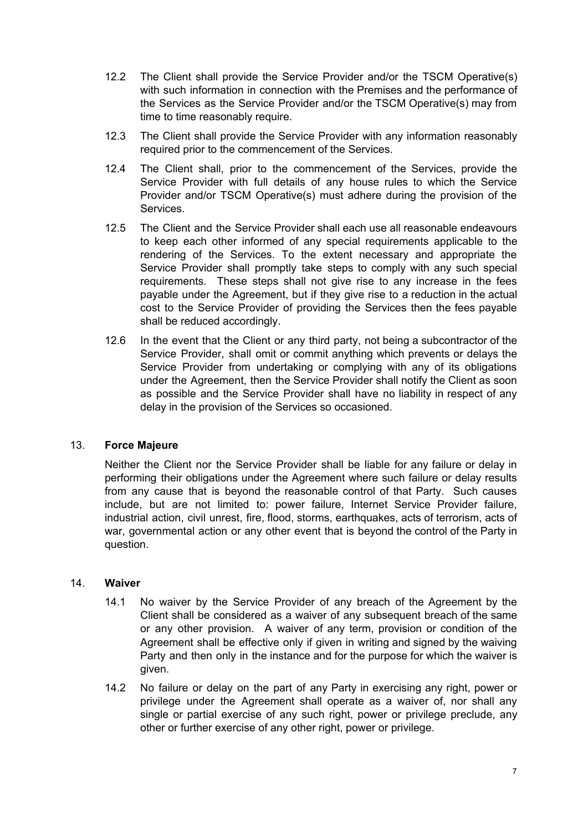- 12.2 The Client shall provide the Service Provider and/or the TSCM Operative(s) with such information in connection with the Premises and the performance of the Services as the Service Provider and/or the TSCM Operative(s) may from time to time reasonably require.
- 12.3 The Client shall provide the Service Provider with any information reasonably required prior to the commencement of the Services.
- 12.4 The Client shall, prior to the commencement of the Services, provide the Service Provider with full details of any house rules to which the Service Provider and/or TSCM Operative(s) must adhere during the provision of the Services.
- 12.5 The Client and the Service Provider shall each use all reasonable endeavours to keep each other informed of any special requirements applicable to the rendering of the Services. To the extent necessary and appropriate the Service Provider shall promptly take steps to comply with any such special requirements. These steps shall not give rise to any increase in the fees payable under the Agreement, but if they give rise to a reduction in the actual cost to the Service Provider of providing the Services then the fees payable shall be reduced accordingly.
- 12.6 In the event that the Client or any third party, not being a subcontractor of the Service Provider, shall omit or commit anything which prevents or delays the Service Provider from undertaking or complying with any of its obligations under the Agreement, then the Service Provider shall notify the Client as soon as possible and the Service Provider shall have no liability in respect of any delay in the provision of the Services so occasioned.

## 13. **Force Majeure**

Neither the Client nor the Service Provider shall be liable for any failure or delay in performing their obligations under the Agreement where such failure or delay results from any cause that is beyond the reasonable control of that Party. Such causes include, but are not limited to: power failure, Internet Service Provider failure, industrial action, civil unrest, fire, flood, storms, earthquakes, acts of terrorism, acts of war, governmental action or any other event that is beyond the control of the Party in question.

## 14. **Waiver**

- 14.1 No waiver by the Service Provider of any breach of the Agreement by the Client shall be considered as a waiver of any subsequent breach of the same or any other provision. A waiver of any term, provision or condition of the Agreement shall be effective only if given in writing and signed by the waiving Party and then only in the instance and for the purpose for which the waiver is given.
- 14.2 No failure or delay on the part of any Party in exercising any right, power or privilege under the Agreement shall operate as a waiver of, nor shall any single or partial exercise of any such right, power or privilege preclude, any other or further exercise of any other right, power or privilege.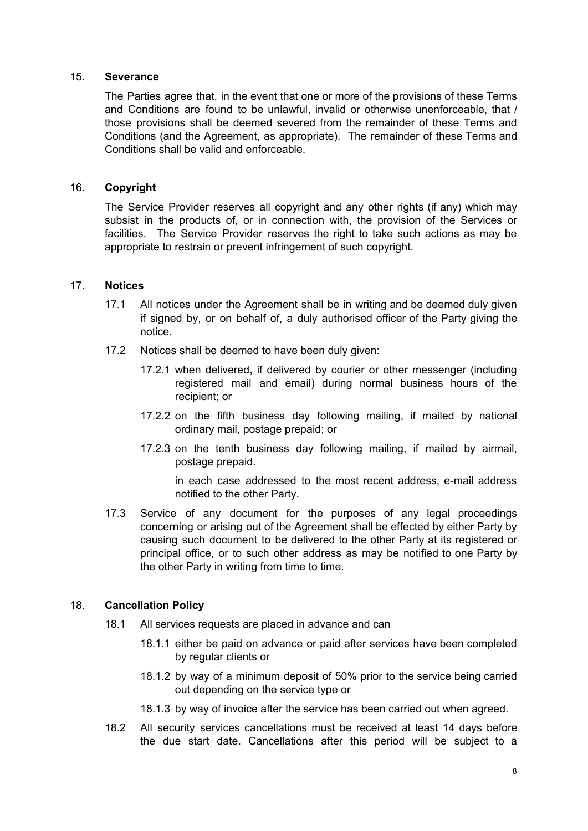## 15. **Severance**

The Parties agree that, in the event that one or more of the provisions of these Terms and Conditions are found to be unlawful, invalid or otherwise unenforceable, that / those provisions shall be deemed severed from the remainder of these Terms and Conditions (and the Agreement, as appropriate). The remainder of these Terms and Conditions shall be valid and enforceable.

## 16. **Copyright**

The Service Provider reserves all copyright and any other rights (if any) which may subsist in the products of, or in connection with, the provision of the Services or facilities. The Service Provider reserves the right to take such actions as may be appropriate to restrain or prevent infringement of such copyright.

#### 17. **Notices**

- 17.1 All notices under the Agreement shall be in writing and be deemed duly given if signed by, or on behalf of, a duly authorised officer of the Party giving the notice.
- 17.2 Notices shall be deemed to have been duly given:
	- 17.2.1 when delivered, if delivered by courier or other messenger (including registered mail and email) during normal business hours of the recipient; or
	- 17.2.2 on the fifth business day following mailing, if mailed by national ordinary mail, postage prepaid; or
	- 17.2.3 on the tenth business day following mailing, if mailed by airmail, postage prepaid.

in each case addressed to the most recent address, e-mail address notified to the other Party.

17.3 Service of any document for the purposes of any legal proceedings concerning or arising out of the Agreement shall be effected by either Party by causing such document to be delivered to the other Party at its registered or principal office, or to such other address as may be notified to one Party by the other Party in writing from time to time.

#### 18. **Cancellation Policy**

- 18.1 All services requests are placed in advance and can
	- 18.1.1 either be paid on advance or paid after services have been completed by regular clients or
	- 18.1.2 by way of a minimum deposit of 50% prior to the service being carried out depending on the service type or
	- 18.1.3 by way of invoice after the service has been carried out when agreed.
- 18.2 All security services cancellations must be received at least 14 days before the due start date. Cancellations after this period will be subject to a